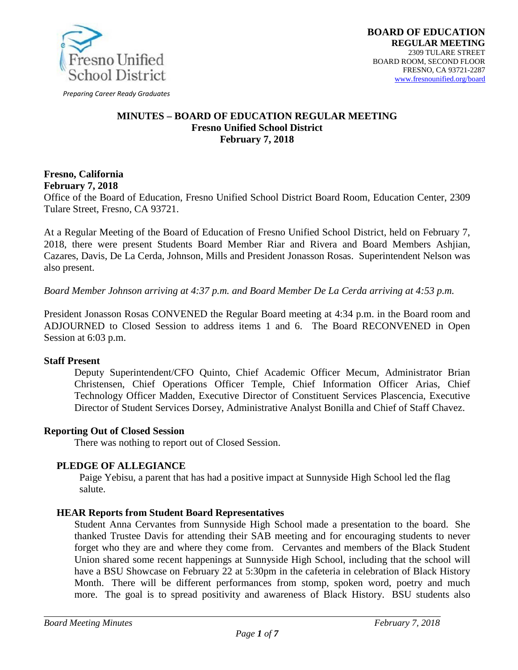

*Preparing Career Ready Graduates*

### **MINUTES – BOARD OF EDUCATION REGULAR MEETING Fresno Unified School District February 7, 2018**

#### **Fresno, California February 7, 2018**

Office of the Board of Education, Fresno Unified School District Board Room, Education Center, 2309 Tulare Street, Fresno, CA 93721.

At a Regular Meeting of the Board of Education of Fresno Unified School District, held on February 7, 2018, there were present Students Board Member Riar and Rivera and Board Members Ashjian, Cazares, Davis, De La Cerda, Johnson, Mills and President Jonasson Rosas. Superintendent Nelson was also present.

*Board Member Johnson arriving at 4:37 p.m. and Board Member De La Cerda arriving at 4:53 p.m.*

President Jonasson Rosas CONVENED the Regular Board meeting at 4:34 p.m. in the Board room and ADJOURNED to Closed Session to address items 1 and 6. The Board RECONVENED in Open Session at 6:03 p.m.

## **Staff Present**

Deputy Superintendent/CFO Quinto, Chief Academic Officer Mecum, Administrator Brian Christensen, Chief Operations Officer Temple, Chief Information Officer Arias, Chief Technology Officer Madden, Executive Director of Constituent Services Plascencia, Executive Director of Student Services Dorsey, Administrative Analyst Bonilla and Chief of Staff Chavez.

## **Reporting Out of Closed Session**

There was nothing to report out of Closed Session.

#### **PLEDGE OF ALLEGIANCE**

Paige Yebisu, a parent that has had a positive impact at Sunnyside High School led the flag salute.

#### **HEAR Reports from Student Board Representatives**

Student Anna Cervantes from Sunnyside High School made a presentation to the board. She thanked Trustee Davis for attending their SAB meeting and for encouraging students to never forget who they are and where they come from. Cervantes and members of the Black Student Union shared some recent happenings at Sunnyside High School, including that the school will have a BSU Showcase on February 22 at 5:30pm in the cafeteria in celebration of Black History Month. There will be different performances from stomp, spoken word, poetry and much more. The goal is to spread positivity and awareness of Black History. BSU students also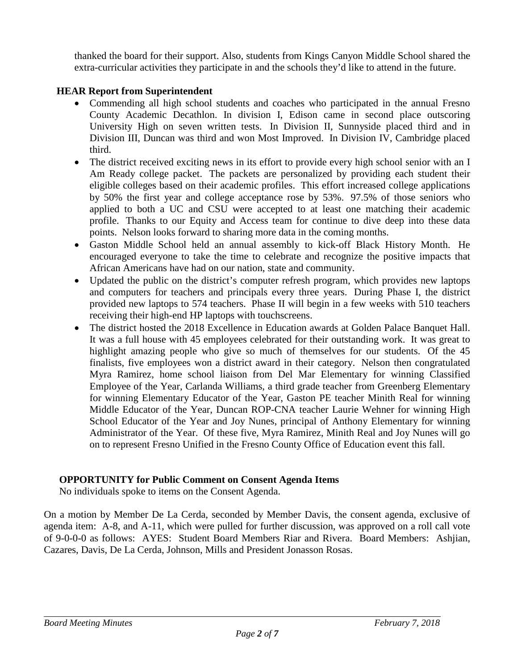thanked the board for their support. Also, students from Kings Canyon Middle School shared the extra-curricular activities they participate in and the schools they'd like to attend in the future.

# **HEAR Report from Superintendent**

- Commending all high school students and coaches who participated in the annual Fresno County Academic Decathlon. In division I, Edison came in second place outscoring University High on seven written tests. In Division II, Sunnyside placed third and in Division III, Duncan was third and won Most Improved. In Division IV, Cambridge placed third.
- The district received exciting news in its effort to provide every high school senior with an I Am Ready college packet. The packets are personalized by providing each student their eligible colleges based on their academic profiles. This effort increased college applications by 50% the first year and college acceptance rose by 53%. 97.5% of those seniors who applied to both a UC and CSU were accepted to at least one matching their academic profile. Thanks to our Equity and Access team for continue to dive deep into these data points. Nelson looks forward to sharing more data in the coming months.
- Gaston Middle School held an annual assembly to kick-off Black History Month. He encouraged everyone to take the time to celebrate and recognize the positive impacts that African Americans have had on our nation, state and community.
- Updated the public on the district's computer refresh program, which provides new laptops and computers for teachers and principals every three years. During Phase I, the district provided new laptops to 574 teachers. Phase II will begin in a few weeks with 510 teachers receiving their high-end HP laptops with touchscreens.
- The district hosted the 2018 Excellence in Education awards at Golden Palace Banquet Hall. It was a full house with 45 employees celebrated for their outstanding work. It was great to highlight amazing people who give so much of themselves for our students. Of the 45 finalists, five employees won a district award in their category. Nelson then congratulated Myra Ramirez, home school liaison from Del Mar Elementary for winning Classified Employee of the Year, Carlanda Williams, a third grade teacher from Greenberg Elementary for winning Elementary Educator of the Year, Gaston PE teacher Minith Real for winning Middle Educator of the Year, Duncan ROP-CNA teacher Laurie Wehner for winning High School Educator of the Year and Joy Nunes, principal of Anthony Elementary for winning Administrator of the Year. Of these five, Myra Ramirez, Minith Real and Joy Nunes will go on to represent Fresno Unified in the Fresno County Office of Education event this fall.

## **OPPORTUNITY for Public Comment on Consent Agenda Items**

No individuals spoke to items on the Consent Agenda.

On a motion by Member De La Cerda, seconded by Member Davis, the consent agenda, exclusive of agenda item: A-8, and A-11, which were pulled for further discussion, was approved on a roll call vote of 9-0-0-0 as follows: AYES: Student Board Members Riar and Rivera. Board Members: Ashjian, Cazares, Davis, De La Cerda, Johnson, Mills and President Jonasson Rosas.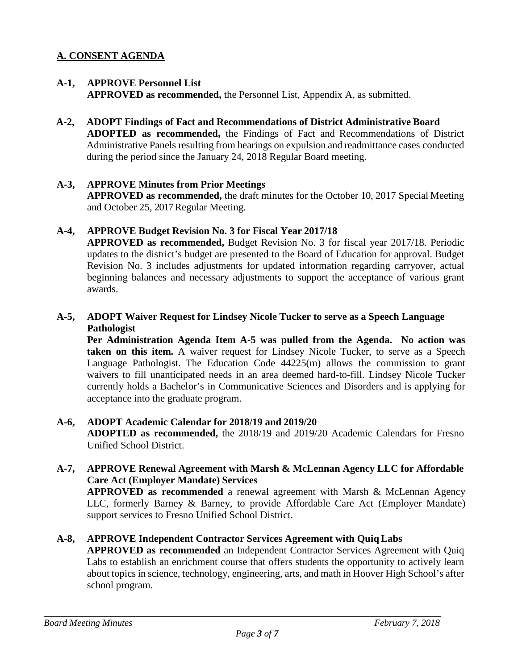# **A. CONSENT AGENDA**

## **A-1, APPROVE Personnel List**

**APPROVED as recommended,** the Personnel List, Appendix A, as submitted.

**A-2, ADOPT Findings of Fact and Recommendations of District Administrative Board ADOPTED as recommended,** the Findings of Fact and Recommendations of District Administrative Panels resulting from hearings on expulsion and readmittance cases conducted during the period since the January 24, 2018 Regular Board meeting.

## **A-3, APPROVE Minutes from Prior Meetings**

**APPROVED as recommended,** the draft minutes for the October 10, 2017 Special Meeting and October 25, 2017 Regular Meeting.

## **A-4, APPROVE Budget Revision No. 3 for Fiscal Year 2017/18**

**APPROVED as recommended,** Budget Revision No. 3 for fiscal year 2017/18. Periodic updates to the district's budget are presented to the Board of Education for approval. Budget Revision No. 3 includes adjustments for updated information regarding carryover, actual beginning balances and necessary adjustments to support the acceptance of various grant awards.

## **A-5, ADOPT Waiver Request for Lindsey Nicole Tucker to serve as a Speech Language Pathologist**

**Per Administration Agenda Item A-5 was pulled from the Agenda. No action was taken on this item.** A waiver request for Lindsey Nicole Tucker, to serve as a Speech Language Pathologist. The Education Code 44225(m) allows the commission to grant waivers to fill unanticipated needs in an area deemed hard-to-fill. Lindsey Nicole Tucker currently holds a Bachelor's in Communicative Sciences and Disorders and is applying for acceptance into the graduate program.

## **A-6, ADOPT Academic Calendar for 2018/19 and 2019/20**

**ADOPTED as recommended,** the 2018/19 and 2019/20 Academic Calendars for Fresno Unified School District.

## **A-7, APPROVE Renewal Agreement with Marsh & McLennan Agency LLC for Affordable Care Act (Employer Mandate) Services**

**APPROVED as recommended** a renewal agreement with Marsh & McLennan Agency LLC, formerly Barney & Barney, to provide Affordable Care Act (Employer Mandate) support services to Fresno Unified School District.

## **A-8, APPROVE Independent Contractor Services Agreement with QuiqLabs**

**APPROVED as recommended** an Independent Contractor Services Agreement with Quiq Labs to establish an enrichment course that offers students the opportunity to actively learn about topics in science, technology, engineering, arts, and math in Hoover High School's after school program.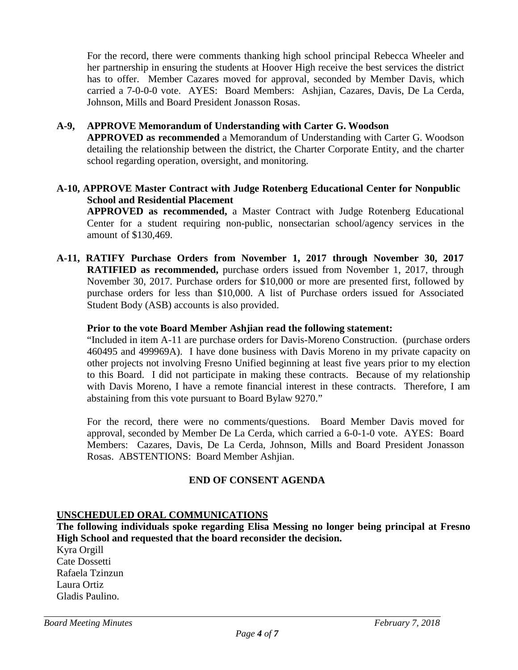For the record, there were comments thanking high school principal Rebecca Wheeler and her partnership in ensuring the students at Hoover High receive the best services the district has to offer. Member Cazares moved for approval, seconded by Member Davis, which carried a 7-0-0-0 vote. AYES: Board Members: Ashjian, Cazares, Davis, De La Cerda, Johnson, Mills and Board President Jonasson Rosas.

### **A-9, APPROVE Memorandum of Understanding with Carter G. Woodson**

**APPROVED as recommended** a Memorandum of Understanding with Carter G. Woodson detailing the relationship between the district, the Charter Corporate Entity, and the charter school regarding operation, oversight, and monitoring.

### **A-10, APPROVE Master Contract with Judge Rotenberg Educational Center for Nonpublic School and Residential Placement**

**APPROVED as recommended,** a Master Contract with Judge Rotenberg Educational Center for a student requiring non-public, nonsectarian school/agency services in the amount of \$130,469.

**A-11, RATIFY Purchase Orders from November 1, 2017 through November 30, 2017 RATIFIED as recommended,** purchase orders issued from November 1, 2017, through November 30, 2017. Purchase orders for \$10,000 or more are presented first, followed by purchase orders for less than \$10,000. A list of Purchase orders issued for Associated Student Body (ASB) accounts is also provided.

### **Prior to the vote Board Member Ashjian read the following statement:**

"Included in item A-11 are purchase orders for Davis-Moreno Construction. (purchase orders 460495 and 499969A). I have done business with Davis Moreno in my private capacity on other projects not involving Fresno Unified beginning at least five years prior to my election to this Board. I did not participate in making these contracts. Because of my relationship with Davis Moreno, I have a remote financial interest in these contracts. Therefore, I am abstaining from this vote pursuant to Board Bylaw 9270."

For the record, there were no comments/questions. Board Member Davis moved for approval, seconded by Member De La Cerda, which carried a 6-0-1-0 vote. AYES: Board Members: Cazares, Davis, De La Cerda, Johnson, Mills and Board President Jonasson Rosas. ABSTENTIONS: Board Member Ashjian.

## **END OF CONSENT AGENDA**

# **UNSCHEDULED ORAL COMMUNICATIONS**

**The following individuals spoke regarding Elisa Messing no longer being principal at Fresno High School and requested that the board reconsider the decision.**

Kyra Orgill Cate Dossetti Rafaela Tzinzun Laura Ortiz Gladis Paulino.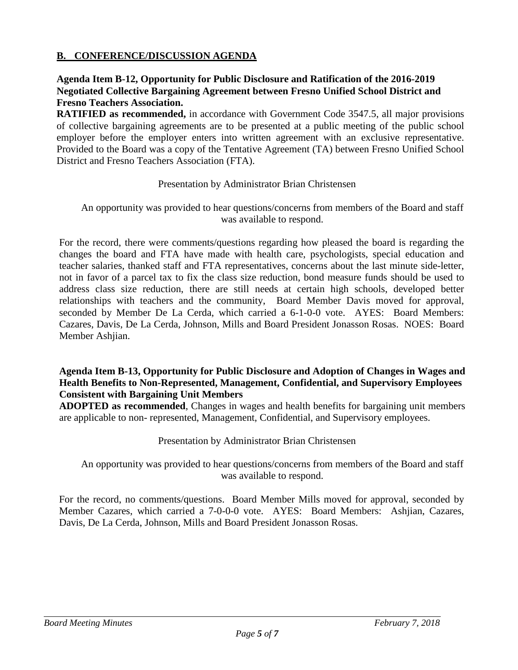## **B. CONFERENCE/DISCUSSION AGENDA**

## **Agenda Item B-12, Opportunity for Public Disclosure and Ratification of the 2016-2019 Negotiated Collective Bargaining Agreement between Fresno Unified School District and Fresno Teachers Association.**

**RATIFIED as recommended,** in accordance with Government Code 3547.5, all major provisions of collective bargaining agreements are to be presented at a public meeting of the public school employer before the employer enters into written agreement with an exclusive representative. Provided to the Board was a copy of the Tentative Agreement (TA) between Fresno Unified School District and Fresno Teachers Association (FTA).

#### Presentation by Administrator Brian Christensen

### An opportunity was provided to hear questions/concerns from members of the Board and staff was available to respond.

For the record, there were comments/questions regarding how pleased the board is regarding the changes the board and FTA have made with health care, psychologists, special education and teacher salaries, thanked staff and FTA representatives, concerns about the last minute side-letter, not in favor of a parcel tax to fix the class size reduction, bond measure funds should be used to address class size reduction, there are still needs at certain high schools, developed better relationships with teachers and the community, Board Member Davis moved for approval, seconded by Member De La Cerda, which carried a 6-1-0-0 vote. AYES: Board Members: Cazares, Davis, De La Cerda, Johnson, Mills and Board President Jonasson Rosas. NOES: Board Member Ashjian.

### **Agenda Item B-13, Opportunity for Public Disclosure and Adoption of Changes in Wages and Health Benefits to Non-Represented, Management, Confidential, and Supervisory Employees Consistent with Bargaining Unit Members**

**ADOPTED as recommended**, Changes in wages and health benefits for bargaining unit members are applicable to non- represented, Management, Confidential, and Supervisory employees.

## Presentation by Administrator Brian Christensen

An opportunity was provided to hear questions/concerns from members of the Board and staff was available to respond.

For the record, no comments/questions. Board Member Mills moved for approval, seconded by Member Cazares, which carried a 7-0-0-0 vote. AYES: Board Members: Ashjian, Cazares, Davis, De La Cerda, Johnson, Mills and Board President Jonasson Rosas.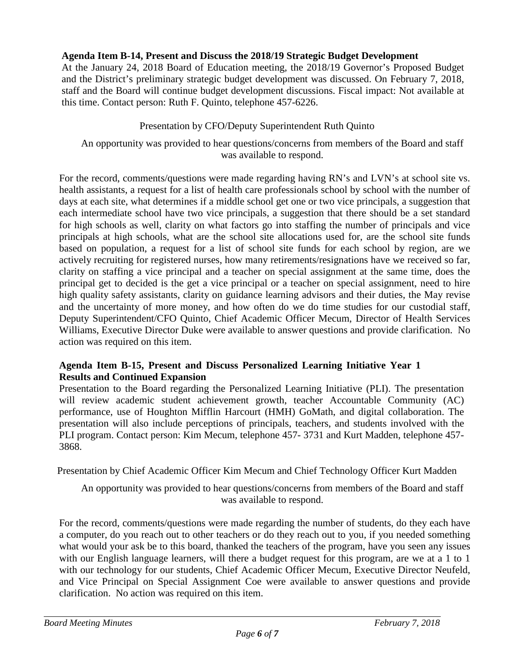# **Agenda Item B-14, Present and Discuss the 2018/19 Strategic Budget Development**

At the January 24, 2018 Board of Education meeting, the 2018/19 Governor's Proposed Budget and the District's preliminary strategic budget development was discussed. On February 7, 2018, staff and the Board will continue budget development discussions. Fiscal impact: Not available at this time. Contact person: Ruth F. Quinto, telephone 457-6226.

## Presentation by CFO/Deputy Superintendent Ruth Quinto

An opportunity was provided to hear questions/concerns from members of the Board and staff was available to respond.

For the record, comments/questions were made regarding having RN's and LVN's at school site vs. health assistants, a request for a list of health care professionals school by school with the number of days at each site, what determines if a middle school get one or two vice principals, a suggestion that each intermediate school have two vice principals, a suggestion that there should be a set standard for high schools as well, clarity on what factors go into staffing the number of principals and vice principals at high schools, what are the school site allocations used for, are the school site funds based on population, a request for a list of school site funds for each school by region, are we actively recruiting for registered nurses, how many retirements/resignations have we received so far, clarity on staffing a vice principal and a teacher on special assignment at the same time, does the principal get to decided is the get a vice principal or a teacher on special assignment, need to hire high quality safety assistants, clarity on guidance learning advisors and their duties, the May revise and the uncertainty of more money, and how often do we do time studies for our custodial staff, Deputy Superintendent/CFO Quinto, Chief Academic Officer Mecum, Director of Health Services Williams, Executive Director Duke were available to answer questions and provide clarification. No action was required on this item.

## **Agenda Item B-15, Present and Discuss Personalized Learning Initiative Year 1 Results and Continued Expansion**

Presentation to the Board regarding the Personalized Learning Initiative (PLI). The presentation will review academic student achievement growth, teacher Accountable Community (AC) performance, use of Houghton Mifflin Harcourt (HMH) GoMath, and digital collaboration. The presentation will also include perceptions of principals, teachers, and students involved with the PLI program. Contact person: Kim Mecum, telephone 457- 3731 and Kurt Madden, telephone 457- 3868.

Presentation by Chief Academic Officer Kim Mecum and Chief Technology Officer Kurt Madden

## An opportunity was provided to hear questions/concerns from members of the Board and staff was available to respond.

For the record, comments/questions were made regarding the number of students, do they each have a computer, do you reach out to other teachers or do they reach out to you, if you needed something what would your ask be to this board, thanked the teachers of the program, have you seen any issues with our English language learners, will there a budget request for this program, are we at a 1 to 1 with our technology for our students, Chief Academic Officer Mecum, Executive Director Neufeld, and Vice Principal on Special Assignment Coe were available to answer questions and provide clarification. No action was required on this item.